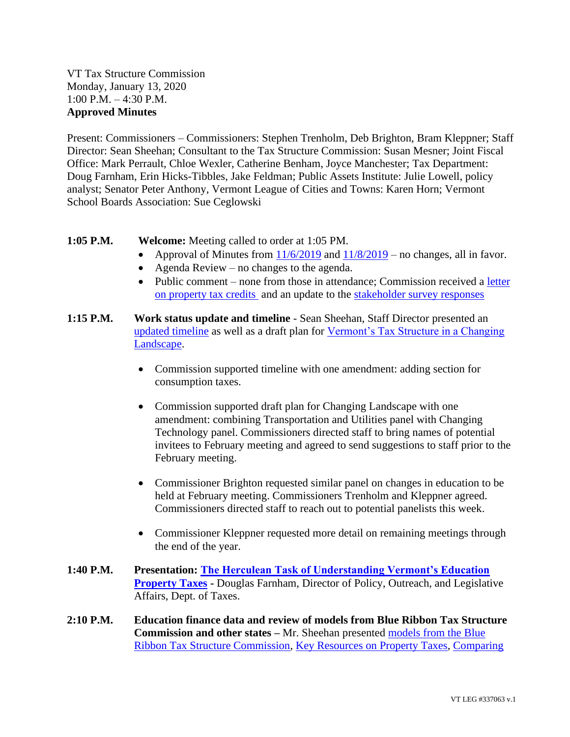VT Tax Structure Commission Monday, January 13, 2020 1:00 P.M. – 4:30 P.M. **Approved Minutes**

Present: Commissioners – Commissioners: Stephen Trenholm, Deb Brighton, Bram Kleppner; Staff Director: Sean Sheehan; Consultant to the Tax Structure Commission: Susan Mesner; Joint Fiscal Office: Mark Perrault, Chloe Wexler, Catherine Benham, Joyce Manchester; Tax Department: Doug Farnham, Erin Hicks-Tibbles, Jake Feldman; Public Assets Institute: Julie Lowell, policy analyst; Senator Peter Anthony, Vermont League of Cities and Towns: Karen Horn; Vermont School Boards Association: Sue Ceglowski

- **1:05 P.M. Welcome:** Meeting called to order at 1:05 PM.
	- Approval of Minutes from  $\frac{11}{6}/2019$  and  $\frac{11}{8}/2019$  no changes, all in favor.
	- Agenda Review no changes to the agenda.
	- Public comment none from those in attendance; Commission received a letter [on property tax credits](https://ljfo.vermont.gov/assets/Subjects/Public-Feedback/bb4495054c/McKain-Letter.pdf) and an update to the [stakeholder survey responses](https://ljfo.vermont.gov/assets/Meetings/Tax-Structure-Commission/2020-01-13/bbc7c97322/Survey-responses-updated-as-of-1-9-20.pdf)
- **1:15 P.M. Work status update and timeline**  Sean Sheehan, Staff Director presented an [updated timeline](https://ljfo.vermont.gov/assets/Meetings/Tax-Structure-Commission/2020-01-13/6df70c063a/TSC-Calendar-with-milestones-DRAFTJan10-2020.pdf) as well as a draft plan for [Vermont's Tax Structure in a Changing](https://ljfo.vermont.gov/assets/Meetings/Tax-Structure-Commission/2020-01-13/04de01c9e1/Tax-Structure-in-a-Changing-Landscape-1-10-20-DRAFT.pdf)  [Landscape.](https://ljfo.vermont.gov/assets/Meetings/Tax-Structure-Commission/2020-01-13/04de01c9e1/Tax-Structure-in-a-Changing-Landscape-1-10-20-DRAFT.pdf)
	- Commission supported timeline with one amendment: adding section for consumption taxes.
	- Commission supported draft plan for Changing Landscape with one amendment: combining Transportation and Utilities panel with Changing Technology panel. Commissioners directed staff to bring names of potential invitees to February meeting and agreed to send suggestions to staff prior to the February meeting.
	- Commissioner Brighton requested similar panel on changes in education to be held at February meeting. Commissioners Trenholm and Kleppner agreed. Commissioners directed staff to reach out to potential panelists this week.
	- Commissioner Kleppner requested more detail on remaining meetings through the end of the year.
- **1:40 P.M. Presentation: [The Herculean Task of Understanding Vermont's Education](https://ljfo.vermont.gov/assets/Meetings/Tax-Structure-Commission/2020-01-13/77ec3480dc/Education-Property-Tax-Presentation_Final.pdf)  [Property Taxes](https://ljfo.vermont.gov/assets/Meetings/Tax-Structure-Commission/2020-01-13/77ec3480dc/Education-Property-Tax-Presentation_Final.pdf) -** Douglas Farnham, Director of Policy, Outreach, and Legislative Affairs, Dept. of Taxes.
- **2:10 P.M. Education finance data and review of models from Blue Ribbon Tax Structure Commission and other states –** Mr. Sheehan presented [models from the Blue](https://ljfo.vermont.gov/assets/Meetings/Tax-Structure-Commission/2020-01-13/7921712fdf/BRTSC-models-of-ed-finance.pdf)  [Ribbon Tax Structure Commission,](https://ljfo.vermont.gov/assets/Meetings/Tax-Structure-Commission/2020-01-13/7921712fdf/BRTSC-models-of-ed-finance.pdf) [Key Resources on Property Taxes,](https://ljfo.vermont.gov/assets/Meetings/Tax-Structure-Commission/2020-01-13/20b94b8f39/key_resources_on_property_tax_relief_-_may_2019.pdf) [Comparing](https://ljfo.vermont.gov/assets/Meetings/Tax-Structure-Commission/2020-01-13/6702da4555/Comparing-VT-Property-Taxes-to-NE-NY-One-Pager_V12.pdf)